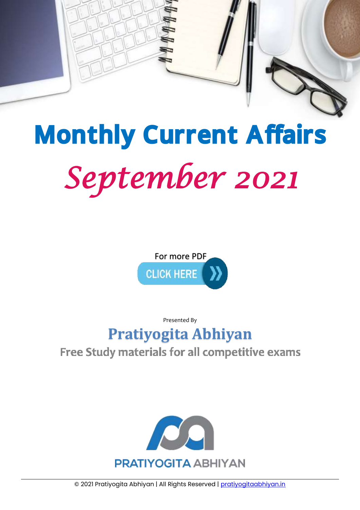

# *September 2021*  Monthly Current Affairs



Presented By

# **[Pratiyogita Abhiyan](http://pratiyogitaabhiyan.in/)**

# Free Study materials for all competitive exams



© 2021 Pratiyogita Abhiyan | All Rights Reserved | [pratiyogitaabhiyan.in](https://pratiyogitaabhiyan.in/)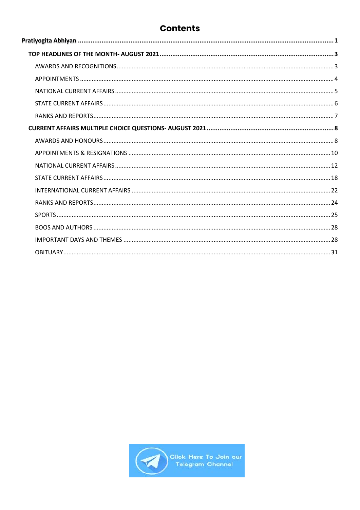# **Contents**

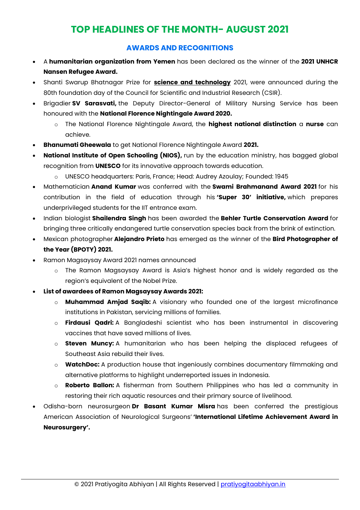# **TOP HEADLINES OF THE MONTH- AUGUST 2021**

# **AWARDS AND RECOGNITIONS**

- <span id="page-2-1"></span><span id="page-2-0"></span> A **humanitarian organization from Yemen** has been declared as the winner of the **2021 UNHCR Nansen Refugee Award.**
- Shanti Swarup Bhatnagar Prize for **science and technology** 2021, were announced during the 80th foundation day of the Council for Scientific and Industrial Research (CSIR).
- Brigadier **SV Sarasvati,** the Deputy Director-General of Military Nursing Service has been honoured with the **National Florence Nightingale Award 2020.**
	- o The National Florence Nightingale Award, the **highest national distinction** a **nurse** can achieve.
- **Bhanumati Gheewala** to get National Florence Nightingale Award **2021.**
- **National Institute of Open Schooling (NIOS),** run by the education ministry, has bagged global recognition from **UNESCO** for its innovative approach towards education.
	- o UNESCO headquarters: Paris, France; Head: Audrey Azoulay; Founded: 1945
- Mathematician **Anand Kumar** was conferred with the **Swami Brahmanand Award 2021** for his contribution in the field of education through his **'Super 30' initiative,** which prepares underprivileged students for the IIT entrance exam.
- Indian biologist **Shailendra Singh** has been awarded the **Behler Turtle Conservation Award** for bringing three critically endangered turtle conservation species back from the brink of extinction.
- Mexican photographer **Alejandro Prieto** has emerged as the winner of the **Bird Photographer of the Year (BPOTY) 2021.**
- Ramon Magsaysay Award 2021 names announced
	- o The Ramon Magsaysay Award is Asia's highest honor and is widely regarded as the region's equivalent of the Nobel Prize.
- **List of awardees of Ramon Magsaysay Awards 2021:**
	- o **Muhammad Amjad Saqib:** A visionary who founded one of the largest microfinance institutions in Pakistan, servicing millions of families.
	- o **Firdausi Qadri:** A Bangladeshi scientist who has been instrumental in discovering vaccines that have saved millions of lives.
	- o **Steven Muncy:** A humanitarian who has been helping the displaced refugees of Southeast Asia rebuild their lives.
	- o **WatchDoc:** A production house that ingeniously combines documentary filmmaking and alternative platforms to highlight underreported issues in Indonesia.
	- o **Roberto Ballon:** A fisherman from Southern Philippines who has led a community in restoring their rich aquatic resources and their primary source of livelihood.
- Odisha-born neurosurgeon **Dr Basant Kumar Misra** has been conferred the prestigious American Association of Neurological Surgeons' **'International Lifetime Achievement Award in Neurosurgery'.**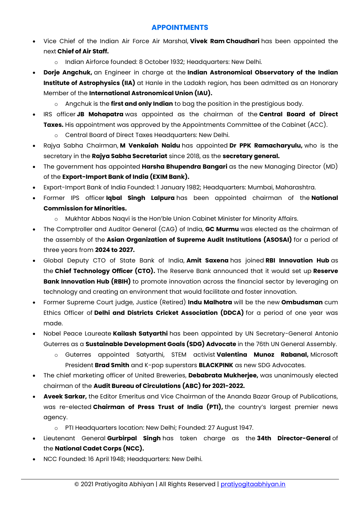# **APPOINTMENTS**

- <span id="page-3-0"></span> Vice Chief of the Indian Air Force Air Marshal, **Vivek Ram Chaudhari** has been appointed the next **Chief of Air Staff.**
	- o Indian Airforce founded: 8 October 1932; Headquarters: New Delhi.
- **Dorje Angchuk,** an Engineer in charge at the **Indian Astronomical Observatory of the Indian Institute of Astrophysics (IIA)** at Hanle in the Ladakh region, has been admitted as an Honorary Member of the **International Astronomical Union (IAU).**
	- o Angchuk is the **first and only Indian** to bag the position in the prestigious body.
- IRS officer **JB Mohapatra** was appointed as the chairman of the **Central Board of Direct Taxes.** His appointment was approved by the Appointments Committee of the Cabinet (ACC).
	- o Central Board of Direct Taxes Headquarters: New Delhi.
- Rajya Sabha Chairman, **M Venkaiah Naidu** has appointed **Dr PPK Ramacharyulu,** who is the secretary in the **Rajya Sabha Secretariat** since 2018, as the **secretary general.**
- The government has appointed **Harsha Bhupendra Bangari** as the new Managing Director (MD) of the **Export-Import Bank of India (EXIM Bank).**
- Export-Import Bank of India Founded: 1 January 1982; Headquarters: Mumbai, Maharashtra.
- Former IPS officer **Iqbal Singh Lalpura** has been appointed chairman of the **National Commission for Minorities.**
	- o Mukhtar Abbas Naqvi is the Hon'ble Union Cabinet Minister for Minority Affairs.
- The Comptroller and Auditor General (CAG) of India, **GC Murmu** was elected as the chairman of the assembly of the **Asian Organization of Supreme Audit Institutions (ASOSAI)** for a period of three years from **2024 to 2027.**
- Global Deputy CTO of State Bank of India, **Amit Saxena** has joined **RBI Innovation Hub** as the **Chief Technology Officer (CTO).** The Reserve Bank announced that it would set up **Reserve Bank Innovation Hub (RBIH)** to promote innovation across the financial sector by leveraging on technology and creating an environment that would facilitate and foster innovation.
- Former Supreme Court judge, Justice (Retired) **Indu Malhotra** will be the new **Ombudsman** cum Ethics Officer of **Delhi and Districts Cricket Association (DDCA)** for a period of one year was made.
- Nobel Peace Laureate **Kailash Satyarthi** has been appointed by UN Secretary-General Antonio Guterres as a **Sustainable Development Goals (SDG) Advocate** in the 76th UN General Assembly.
	- o Guterres appointed Satyarthi, STEM activist **Valentina Munoz Rabanal,** Microsoft President **Brad Smith** and K-pop superstars **BLACKPINK** as new SDG Advocates.
- The chief marketing officer of United Breweries, **Debabrata Mukherjee,** was unanimously elected chairman of the **Audit Bureau of Circulations (ABC) for 2021-2022.**
- **Aveek Sarkar,** the Editor Emeritus and Vice Chairman of the Ananda Bazar Group of Publications, was re-elected **Chairman of Press Trust of India (PTI),** the country's largest premier news agency.
	- o PTI Headquarters location: New Delhi; Founded: 27 August 1947.
- Lieutenant General **Gurbirpal Singh** has taken charge as the **34th Director-General** of the **National Cadet Corps (NCC).**
- NCC Founded: 16 April 1948; Headquarters: New Delhi.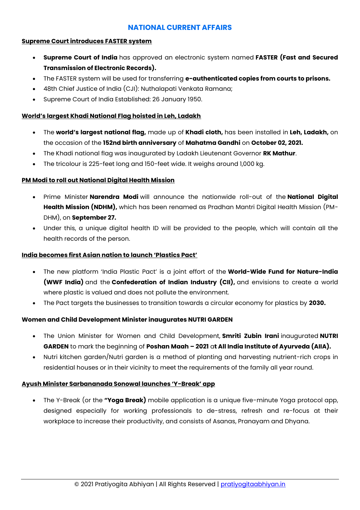#### **NATIONAL CURRENT AFFAIRS**

#### <span id="page-4-0"></span>**Supreme Court introduces FASTER system**

- **Supreme Court of India** has approved an electronic system named **FASTER (Fast and Secured Transmission of Electronic Records).**
- The FASTER system will be used for transferring **e-authenticated copies from courts to prisons.**
- 48th Chief Justice of India (CJI): Nuthalapati Venkata Ramana;
- Supreme Court of India Established: 26 January 1950.

#### **World's largest Khadi National Flag hoisted in Leh, Ladakh**

- The **world's largest national flag,** made up of **Khadi cloth,** has been installed in **Leh, Ladakh,** on the occasion of the **152nd birth anniversary** of **Mahatma Gandhi** on **October 02, 2021.**
- The Khadi national flag was inaugurated by Ladakh Lieutenant Governor **RK Mathur**.
- The tricolour is 225-feet long and 150-feet wide. It weighs around 1,000 kg.

#### **PM Modi to roll out National Digital Health Mission**

- Prime Minister **Narendra Modi** will announce the nationwide roll-out of the **National Digital Health Mission (NDHM),** which has been renamed as Pradhan Mantri Digital Health Mission (PM-DHM), on **September 27.**
- Under this, a unique digital health ID will be provided to the people, which will contain all the health records of the person.

#### **India becomes first Asian nation to launch 'Plastics Pact'**

- The new platform 'India Plastic Pact' is a joint effort of the **World-Wide Fund for Nature-India (WWF India)** and the **Confederation of Indian Industry (CII),** and envisions to create a world where plastic is valued and does not pollute the environment.
- The Pact targets the businesses to transition towards a circular economy for plastics by **2030.**

#### **Women and Child Development Minister inaugurates NUTRI GARDEN**

- The Union Minister for Women and Child Development, **Smriti Zubin Irani** inaugurated **NUTRI GARDEN** to mark the beginning of **Poshan Maah – 2021** a**t All India Institute of Ayurveda (AIIA).**
- Nutri kitchen garden/Nutri garden is a method of planting and harvesting nutrient-rich crops in residential houses or in their vicinity to meet the requirements of the family all year round.

#### **Ayush Minister Sarbananada Sonowal launches 'Y-Break' app**

 The Y-Break (or the **"Yoga Break)** mobile application is a unique five-minute Yoga protocol app, designed especially for working professionals to de-stress, refresh and re-focus at their workplace to increase their productivity, and consists of Asanas, Pranayam and Dhyana.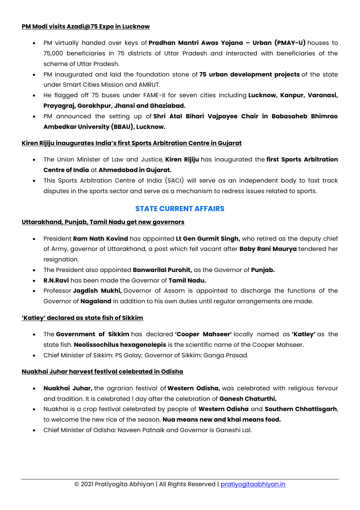#### **PM Modi visits Azadi@75 Expo in Lucknow**

- PM virtually handed over keys of **Pradhan Mantri Awas Yojana – Urban (PMAY-U)** houses to 75,000 beneficiaries in 75 districts of Uttar Pradesh and interacted with beneficiaries of the scheme of Uttar Pradesh.
- PM inaugurated and laid the foundation stone of **75 urban development projects** of the state under Smart Cities Mission and AMRUT.
- He flagged off 75 buses under FAME-II for seven cities including **Lucknow, Kanpur, Varanasi, Prayagraj, Gorakhpur, Jhansi and Ghaziabad.**
- PM announced the setting up of **Shri Atal Bihari Vajpayee Chair in Babasaheb Bhimrao Ambedkar University (BBAU), Lucknow.**

#### **Kiren Rijiju inaugurates India's first Sports Arbitration Centre in Gujarat**

- The Union Minister of Law and Justice, **Kiren Rijiju** has inaugurated the **first Sports Arbitration Centre of India** at **Ahmedabad in Gujarat.**
- This Sports Arbitration Centre of India (SACI) will serve as an independent body to fast track disputes in the sports sector and serve as a mechanism to redress issues related to sports.

# **STATE CURRENT AFFAIRS**

#### <span id="page-5-0"></span>**Uttarakhand, Punjab, Tamil Nadu get new governors**

- President **Ram Nath Kovind** has appointed **Lt Gen Gurmit Singh,** who retired as the deputy chief of Army, governor of Uttarakhand, a post which fell vacant after **Baby Rani Maurya** tendered her resignation.
- The President also appointed **Banwarilal Purohit,** as the Governor of **Punjab.**
- **R.N.Ravi** has been made the Governor of **Tamil Nadu.**
- Professor **Jagdish Mukhi,** Governor of Assam is appointed to discharge the functions of the Governor of **Nagaland** in addition to his own duties until regular arrangements are made.

#### **'Katley' declared as state fish of Sikkim**

- The **Government of Sikkim** has declared **'Cooper Mahseer'** locally named as **'Katley'** as the state fish. **Neolissochilus hexagonolepis** is the scientific name of the Cooper Mahseer.
- Chief Minister of Sikkim: PS Golay; Governor of Sikkim: Ganga Prasad.

#### **Nuakhai Juhar harvest festival celebrated in Odisha**

- **Nuakhai Juhar,** the agrarian festival of **Western Odisha,** was celebrated with religious fervour and tradition. It is celebrated 1 day after the celebration of **Ganesh Chaturthi.**
- Nuakhai is a crop festival celebrated by people of **Western Odisha** and **Southern Chhattisgarh**, to welcome the new rice of the season. **Nua means new and khai means food.**
- Chief Minister of Odisha: Naveen Patnaik and Governor is Ganeshi Lal.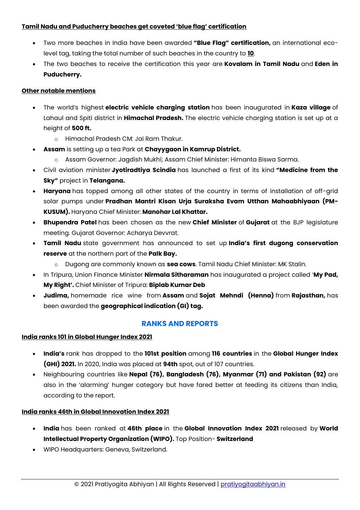#### **Tamil Nadu and Puducherry beaches get coveted 'blue flag' certification**

- Two more beaches in India have been awarded **"Blue Flag" certification,** an international ecolevel tag, taking the total number of such beaches in the country to **10**.
- The two beaches to receive the certification this year are **Kovalam in Tamil Nadu** and **Eden in Puducherry.**

#### **Other notable mentions**

- The world's highest **electric vehicle charging station** has been inaugurated in **Kaza village** of Lahaul and Spiti district in **Himachal Pradesh.** The electric vehicle charging station is set up at a height of **500 ft.**
	- o Himachal Pradesh CM: Jai Ram Thakur.
- **Assam** is setting up a tea Park at **Chayygaon in Kamrup District.**
	- o Assam Governor: Jagdish Mukhi; Assam Chief Minister: Himanta Biswa Sarma.
- Civil aviation minister **Jyotiradtiya Scindia** has launched a first of its kind **"Medicine from the Sky"** project in **Telangana.**
- **Haryana** has topped among all other states of the country in terms of installation of off-grid solar pumps under **Pradhan Mantri Kisan Urja Suraksha Evam Utthan Mahaabhiyaan (PM-KUSUM).** Haryana Chief Minister: **Manohar Lal Khattar.**
- **Bhupendra Patel** has been chosen as the new **Chief Minister** of **Gujarat** at the BJP legislature meeting. Gujarat Governor: Acharya Devvrat.
- **Tamil Nadu** state government has announced to set up **India's first dugong conservation reserve** at the northern part of the **Palk Bay.**
	- o Dugong are commonly known as **sea cows**. Tamil Nadu Chief Minister: MK Stalin.
- In Tripura, Union Finance Minister **Nirmala Sitharaman** has inaugurated a project called '**My Pad, My Right'.** Chief Minister of Tripura: **Biplab Kumar Deb**
- **Judima,** homemade rice wine from **Assam** and **Sojat Mehndi (Henna)** from **Rajasthan,** has been awarded the **geographical indication (GI) tag.**

#### **RANKS AND REPORTS**

#### <span id="page-6-0"></span>**India ranks 101 in Global Hunger Index 2021**

- **India's** rank has dropped to the **101st position** among **116 countries** in the **Global Hunger Index (GHI) 2021.** In 2020, India was placed at **94th** spot, out of 107 countries.
- Neighbouring countries like **Nepal (76), Bangladesh (76), Myanmar (71) and Pakistan (92)** are also in the 'alarming' hunger category but have fared better at feeding its citizens than India, according to the report.

#### **India ranks 46th in Global Innovation Index 2021**

- **India** has been ranked at **46th place** in the **Global Innovation Index 2021** released by **World Intellectual Property Organization (WIPO).** Top Position- **Switzerland**
- WIPO Headquarters: Geneva, Switzerland.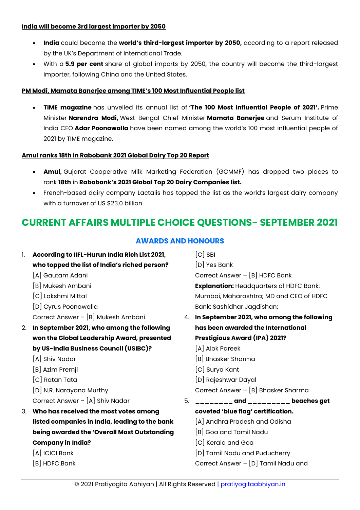#### **India will become 3rd largest importer by 2050**

- **India** could become the **world's third-largest importer by 2050,** according to a report released by the UK's Department of International Trade.
- With a **5.9 per cent** share of global imports by 2050, the country will become the third-largest importer, following China and the United States.

#### **PM Modi, Mamata Banerjee among TIME's 100 Most Influential People list**

 **TIME magazine** has unveiled its annual list of **'The 100 Most Influential People of 2021'.** Prime Minister **Narendra Modi,** West Bengal Chief Minister **Mamata Banerjee** and Serum Institute of India CEO **Adar Poonawalla** have been named among the world's 100 most influential people of 2021 by TIME magazine.

#### **Amul ranks 18th in Rabobank 2021 Global Dairy Top 20 Report**

- **Amul,** Gujarat Cooperative Milk Marketing Federation (GCMMF) has dropped two places to rank **18th** in **Rabobank's 2021 Global Top 20 Dairy Companies list.**
- French-based dairy company Lactalis has topped the list as the world's largest dairy company with a turnover of US \$23.0 billion.

# <span id="page-7-1"></span><span id="page-7-0"></span>**CURRENT AFFAIRS MULTIPLE CHOICE QUESTIONS- SEPTEMBER 2021**

| 1. | According to IIFL-Hurun India Rich List 2021,  |    | $[C]$ SBI                                      |
|----|------------------------------------------------|----|------------------------------------------------|
|    | who topped the list of India's riched person?  |    | [D] Yes Bank                                   |
|    | [A] Gautam Adani                               |    | Correct Answer - [B] HDFC Bank                 |
|    | [B] Mukesh Ambani                              |    | <b>Explanation: Headquarters of HDFC Bank:</b> |
|    | [C] Lakshmi Mittal                             |    | Mumbai, Maharashtra; MD and CEO of HDFC        |
|    | [D] Cyrus Poonawalla                           |    | Bank: Sashidhar Jagdishan;                     |
|    | Correct Answer - [B] Mukesh Ambani             | 4. | In September 2021, who among the following     |
| 2. | In September 2021, who among the following     |    | has been awarded the International             |
|    | won the Global Leadership Award, presented     |    | Prestigious Award (IPA) 2021?                  |
|    | by US-India Business Council (USIBC)?          |    | [A] Alok Pareek                                |
|    | [A] Shiv Nadar                                 |    | [B] Bhasker Sharma                             |
|    | [B] Azim Premji                                |    | [C] Surya Kant                                 |
|    | [C] Ratan Tata                                 |    | [D] Rajeshwar Dayal                            |
|    | [D] N.R. Narayana Murthy                       |    | Correct Answer - [B] Bhasker Sharma            |
|    | Correct Answer - [A] Shiv Nadar                | 5. |                                                |
| 3. | Who has received the most votes among          |    | coveted 'blue flag' certification.             |
|    | listed companies in India, leading to the bank |    | [A] Andhra Pradesh and Odisha                  |
|    | being awarded the 'Overall Most Outstanding    |    | [B] Goa and Tamil Nadu                         |
|    | <b>Company in India?</b>                       |    | [C] Kerala and Goa                             |
|    | $[A]$ ICICI Bank                               |    | [D] Tamil Nadu and Puducherry                  |
|    | [B] HDFC Bank                                  |    | Correct Answer - [D] Tamil Nadu and            |
|    |                                                |    |                                                |

# **AWARDS AND HONOURS**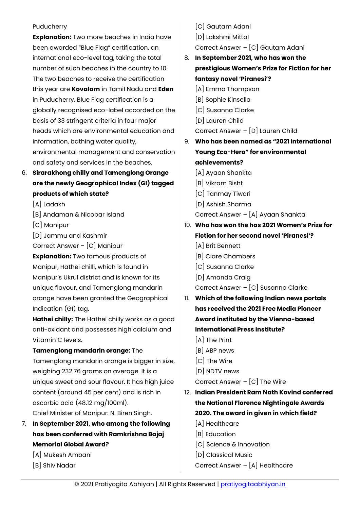#### Puducherry

**Explanation:** Two more beaches in India have been awarded "Blue Flag" certification, an international eco-level tag, taking the total number of such beaches in the country to 10. The two beaches to receive the certification this year are **Kovalam** in Tamil Nadu and **Eden** in Puducherry. Blue Flag certification is a globally recognised eco-label accorded on the basis of 33 stringent criteria in four major heads which are environmental education and information, bathing water quality, environmental management and conservation and safety and services in the beaches.

- 6. **Sirarakhong chilly and Tamenglong Orange are the newly Geographical Index (GI) tagged products of which state?**
	- [A] Ladakh
	- [B] Andaman & Nicobar Island
	- [C] Manipur
	- [D] Jammu and Kashmir

Correct Answer – [C] Manipur

**Explanation:** Two famous products of Manipur, Hathei chilli, which is found in Manipur's Ukrul district and is known for its unique flavour, and Tamenglong mandarin orange have been granted the Geographical Indication (GI) tag.

**Hathei chilly:** The Hathei chilly works as a good anti-oxidant and possesses high calcium and Vitamin C levels.

**Tamenglong mandarin orange:** The Tamenglong mandarin orange is bigger in size, weighing 232.76 grams on average. It is a unique sweet and sour flavour. It has high juice content (around 45 per cent) and is rich in ascorbic acid (48.12 mg/100ml). Chief Minister of Manipur: N. Biren Singh.

- 7. **In September 2021, who among the following has been conferred with Ramkrishna Bajaj Memorial Global Award?**
	- [A] Mukesh Ambani
	- [B] Shiv Nadar
- [C] Gautam Adani
- [D] Lakshmi Mittal
- Correct Answer [C] Gautam Adani
- 8. **In September 2021, who has won the prestigious Women's Prize for Fiction for her fantasy novel 'Piranesi'?**
	- [A] Emma Thompson
	- [B] Sophie Kinsella
	- [C] Susanna Clarke
	- [D] Lauren Child
	- Correct Answer [D] Lauren Child
- 9. **Who has been named as "2021 International Young Eco-Hero" for environmental achievements?**
	- [A] Ayaan Shankta
	- [B] Vikram Bisht
	- [C] Tanmay Tiwari
	- [D] Ashish Sharma
	- Correct Answer [A] Ayaan Shankta
- 10. **Who has won the has 2021 Women's Prize for Fiction for her second novel 'Piranesi'?**
	- [A] Brit Bennett
	- [B] Clare Chambers
	- [C] Susanna Clarke
	- [D] Amanda Craig
	- Correct Answer [C] Susanna Clarke
- 11. **Which of the following Indian news portals has received the 2021 Free Media Pioneer Award instituted by the Vienna-based International Press Institute?**
	- [A] The Print
	- [B] ABP news
	- [C] The Wire
	- [D] NDTV news

Correct Answer – [C] The Wire

- 12. **Indian President Ram Nath Kovind conferred the National Florence Nightingale Awards 2020. The award in given in which field?**
	- [A] Healthcare
	- [B] Education
	- [C] Science & Innovation
	- [D] Classical Music

Correct Answer – [A] Healthcare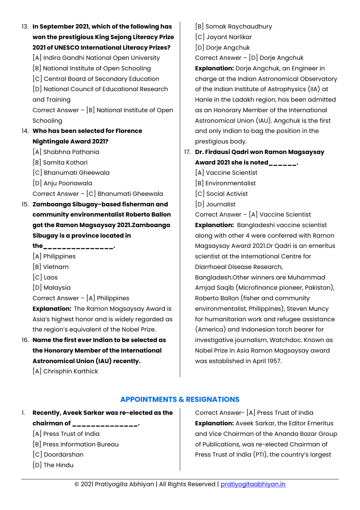- 13. **In September 2021, which of the following has won the prestigious King Sejong Literacy Prize 2021 of UNESCO International Literacy Prizes?**
	- [A] Indira Gandhi National Open University
	- [B] National Institute of Open Schooling
	- [C] Central Board of Secondary Education

[D] National Council of Educational Research and Training

Correct Answer – [B] National Institute of Open **Schooling** 

## 14. **Who has been selected for Florence Nightingale Award 2021?**

- [A] Shobhna Pathania
- [B] Samita Kothari
- [C] Bhanumati Gheewala
- [D] Anju Poonawala

Correct Answer – [C] Bhanumati Gheewala

15. **Zamboanga Sibugay-based fisherman and community environmentalist Roberto Ballon got the Ramon Magsaysay 2021.Zamboanga Sibugay is a province located in** 

**the\_\_\_\_\_\_\_\_\_\_\_\_\_\_\_.**

- [A] Philippines
- [B] Vietnam
- [C] Laos
- [D] Malaysia

Correct Answer – [A] Philippines

**Explanation:** The Ramon Magsaysay Award is Asia's highest honor and is widely regarded as the region's equivalent of the Nobel Prize.

16. **Name the first ever Indian to be selected as the Honorary Member of the International Astronomical Union (IAU) recently.**

[A] Chrisphin Karthick

[B] Somak Raychaudhury

- [C] Jayant Narlikar
- [D] Dorje Angchuk

Correct Answer – [D] Dorje Angchuk

**Explanation:** Dorje Angchuk, an Engineer in charge at the Indian Astronomical Observatory of the Indian Institute of Astrophysics (IIA) at Hanle in the Ladakh region, has been admitted as an Honorary Member of the International Astronomical Union (IAU). Angchuk is the first and only Indian to bag the position in the prestigious body.

# 17. **Dr. Firdausi Qadri won Ramon Magsaysay Award 2021 she is noted\_\_\_\_\_\_.**

[A] Vaccine Scientist

- [B] Environmentalist
- [C] Social Activist
- [D] Journalist

Correct Answer – [A] Vaccine Scientist **Explanation:** Bangladeshi vaccine scientist along with other 4 were conferred with Ramon Magsaysay Award 2021.Dr Qadri is an emeritus scientist at the International Centre for Diarrhoeal Disease Research,

Bangladesh.Other winners are Muhammad Amjad Saqib (Microfinance pioneer, Pakistan), Roberto Ballon (fisher and community environmentalist, Philippines), Steven Muncy for humanitarian work and refugee assistance (America) and Indonesian torch bearer for investigative journalism, Watchdoc. Known as Nobel Prize in Asia Ramon Magsaysay award was established in April 1957.

#### **APPOINTMENTS & RESIGNATIONS**

- <span id="page-9-0"></span>1. **Recently, Aveek Sarkar was re-elected as the chairman of \_\_\_\_\_\_\_\_\_\_\_\_\_\_.**
	- [A] Press Trust of India
	- [B] Press Information Bureau
	- [C] Doordarshan
	- [D] The Hindu

Correct Answer- [A] Press Trust of India **Explanation:** Aveek Sarkar, the Editor Emeritus and Vice Chairman of the Ananda Bazar Group of Publications, was re-elected Chairman of Press Trust of India (PTI), the country's largest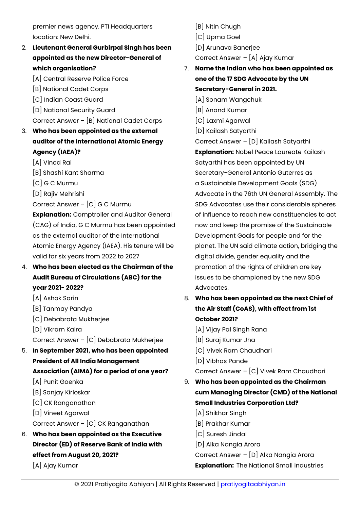premier news agency. PTI Headquarters location: New Delhi.

- 2. **Lieutenant General Gurbirpal Singh has been appointed as the new Director-General of which organisation?**
	- [A] Central Reserve Police Force
	- [B] National Cadet Corps
	- [C] Indian Coast Guard
	- [D] National Security Guard

Correct Answer – [B] National Cadet Corps

- 3. **Who has been appointed as the external auditor of the International Atomic Energy Agency (IAEA)?**
	- [A] Vinod Rai
	- [B] Shashi Kant Sharma
	- [C] G C Murmu
	- [D] Rajiv Mehrishi
	- Correct Answer [C] G C Murmu

**Explanation:** Comptroller and Auditor General (CAG) of India, G C Murmu has been appointed as the external auditor of the International Atomic Energy Agency (IAEA). His tenure will be valid for six years from 2022 to 2027

- 4. **Who has been elected as the Chairman of the Audit Bureau of Circulations (ABC) for the year 2021- 2022?**
	- [A] Ashok Sarin
	- [B] Tanmay Pandya
	- [C] Debabrata Mukherjee
	- [D] Vikram Kalra
	- Correct Answer [C] Debabrata Mukherjee
- 5. **In September 2021, who has been appointed President of All India Management Association (AIMA) for a period of one year?**
	- [A] Punit Goenka
	- [B] Sanjay Kirloskar
	- [C] CK Ranganathan
	- [D] Vineet Agarwal
	- Correct Answer [C] CK Ranganathan
- 6. **Who has been appointed as the Executive Director (ED) of Reserve Bank of India with effect from August 20, 2021?**

[A] Ajay Kumar

- [B] Nitin Chugh [C] Upma Goel [D] Arunava Banerjee Correct Answer – [A] Ajay Kumar 7. **Name the Indian who has been appointed as one of the 17 SDG Advocate by the UN** 
	- **Secretary-General in 2021.**
	- [A] Sonam Wangchuk
	- [B] Anand Kumar
	- [C] Laxmi Agarwal
	- [D] Kailash Satyarthi

Correct Answer – [D] Kailash Satyarthi **Explanation:** Nobel Peace Laureate Kailash Satyarthi has been appointed by UN Secretary-General Antonio Guterres as a Sustainable Development Goals (SDG) Advocate in the 76th UN General Assembly. The SDG Advocates use their considerable spheres of influence to reach new constituencies to act now and keep the promise of the Sustainable Development Goals for people and for the planet. The UN said climate action, bridging the digital divide, gender equality and the promotion of the rights of children are key issues to be championed by the new SDG Advocates.

- 8. **Who has been appointed as the next Chief of the Air Staff (CoAS), with effect from 1st October 2021?**
	- [A] Vijay Pal Singh Rana
	- [B] Suraj Kumar Jha
	- [C] Vivek Ram Chaudhari
	- [D] Vibhas Pande

Correct Answer – [C] Vivek Ram Chaudhari

- 9. **Who has been appointed as the Chairman cum Managing Director (CMD) of the National Small Industries Corporation Ltd?**
	- [A] Shikhar Singh
	- [B] Prakhar Kumar
	- [C] Suresh Jindal
	- [D] Alka Nangia Arora

Correct Answer – [D] Alka Nangia Arora **Explanation:** The National Small Industries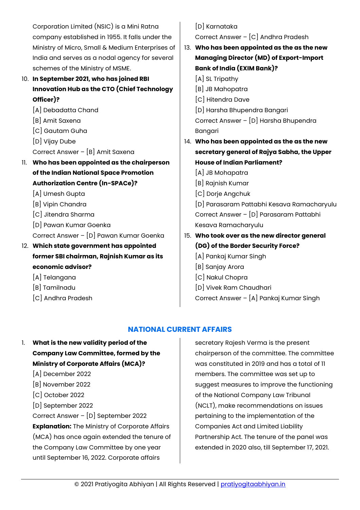Corporation Limited (NSIC) is a Mini Ratna company established in 1955. It falls under the Ministry of Micro, Small & Medium Enterprises of India and serves as a nodal agency for several schemes of the Ministry of MSME.

10. **In September 2021, who has joined RBI Innovation Hub as the CTO (Chief Technology Officer)?**

[A] Debadatta Chand

- [B] Amit Saxena
- [C] Gautam Guha
- [D] Vijay Dube
- Correct Answer [B] Amit Saxena
- 11. **Who has been appointed as the chairperson of the Indian National Space Promotion Authorization Centre (In-SPACe)?**
	- [A] Umesh Gupta
	- [B] Vipin Chandra
	- [C] Jitendra Sharma
	- [D] Pawan Kumar Goenka
	- Correct Answer [D] Pawan Kumar Goenka
- 12. **Which state government has appointed former SBI chairman, Rajnish Kumar as its economic advisor?**
	- [A] Telangana
	- [B] Tamilnadu
	- [C] Andhra Pradesh

# [D] Karnataka

Correct Answer – [C] Andhra Pradesh

- 13. **Who has been appointed as the as the new Managing Director (MD) of Export-Import Bank of India (EXIM Bank)?**
	- [A] SL Tripathy
	- [B] JB Mahopatra
	- [C] Hitendra Dave
	- [D] Harsha Bhupendra Bangari Correct Answer – [D] Harsha Bhupendra

Bangari

- 14. **Who has been appointed as the as the new secretary general of Rajya Sabha, the Upper House of Indian Parliament?**
	- [A] JB Mohapatra
	- [B] Rajnish Kumar
	- [C] Dorje Angchuk
	- [D] Parasaram Pattabhi Kesava Ramacharyulu Correct Answer – [D] Parasaram Pattabhi Kesava Ramacharyulu
- 15. **Who took over as the new director general (DG) of the Border Security Force?**
	- [A] Pankaj Kumar Singh
	- [B] Sanjay Arora
	- [C] Nakul Chopra
	- [D] Vivek Ram Chaudhari
	- Correct Answer [A] Pankaj Kumar Singh

# **NATIONAL CURRENT AFFAIRS**

- <span id="page-11-0"></span>1. **What is the new validity period of the Company Law Committee, formed by the Ministry of Corporate Affairs (MCA)?**
	- [A] December 2022
	- [B] November 2022
	- [C] October 2022
	- [D] September 2022

Correct Answer – [D] September 2022

**Explanation:** The Ministry of Corporate Affairs (MCA) has once again extended the tenure of the Company Law Committee by one year until September 16, 2022. Corporate affairs

secretary Rajesh Verma is the present chairperson of the committee. The committee was constituted in 2019 and has a total of 11 members. The committee was set up to suggest measures to improve the functioning of the National Company Law Tribunal (NCLT), make recommendations on issues pertaining to the implementation of the Companies Act and Limited Liability Partnership Act. The tenure of the panel was extended in 2020 also, till September 17, 2021.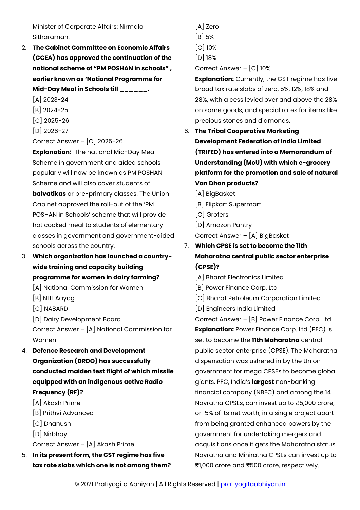Minister of Corporate Affairs: Nirmala Sitharaman.

- 2. **The Cabinet Committee on Economic Affairs (CCEA) has approved the continuation of the national scheme of "PM POSHAN in schools" , earlier known as 'National Programme for Mid-Day Meal in Schools till \_\_\_\_\_\_.**
	- [A] 2023-24
	- [B] 2024-25
	- [C] 2025-26
	- [D] 2026-27

Correct Answer – [C] 2025-26

**Explanation:** The national Mid-Day Meal Scheme in government and aided schools popularly will now be known as PM POSHAN Scheme and will also cover students of **balvatikas** or pre-primary classes. The Union Cabinet approved the roll-out of the 'PM POSHAN in Schools' scheme that will provide hot cooked meal to students of elementary classes in government and government-aided schools across the country.

- 3. **Which organization has launched a countrywide training and capacity building programme for women in dairy farming?**
	- [A] National Commission for Women
	- [B] NITI Aayog
	- [C] NABARD
	- [D] Dairy Development Board

Correct Answer – [A] National Commission for Women

- 4. **Defence Research and Development Organization (DRDO) has successfully conducted maiden test flight of which missile equipped with an indigenous active Radio Frequency (RF)?**
	- [A] Akash Prime
	- [B] Prithvi Advanced
	- [C] Dhanush
	- [D] Nirbhay
	- Correct Answer [A] Akash Prime
- 5. **In its present form, the GST regime has five tax rate slabs which one is not among them?**
- [A] Zero
- [B] 5%
- [C] 10%
- [D] 18%
- Correct Answer [C] 10%

**Explanation:** Currently, the GST regime has five broad tax rate slabs of zero, 5%, 12%, 18% and 28%, with a cess levied over and above the 28% on some goods, and special rates for items like precious stones and diamonds.

- 6. **The Tribal Cooperative Marketing Development Federation of India Limited (TRIFED) has entered into a Memorandum of Understanding (MoU) with which e-grocery platform for the promotion and sale of natural Van Dhan products?**
	- [A] BigBasket
	- [B] Flipkart Supermart
	- [C] Grofers
	- [D] Amazon Pantry

Correct Answer – [A] BigBasket

- 7. **Which CPSE is set to become the 11th Maharatna central public sector enterprise (CPSE)?**
	- [A] Bharat Electronics Limited
	- [B] Power Finance Corp. Ltd
	- [C] Bharat Petroleum Corporation Limited
	- [D] Engineers India Limited

Correct Answer – [B] Power Finance Corp. Ltd **Explanation:** Power Finance Corp. Ltd (PFC) is set to become the **11th Maharatna** central public sector enterprise (CPSE). The Maharatna dispensation was ushered in by the Union government for mega CPSEs to become global giants. PFC, India's **largest** non-banking financial company (NBFC) and among the 14 Navratna CPSEs, can invest up to ₹5,000 crore, or 15% of its net worth, in a single project apart from being granted enhanced powers by the government for undertaking mergers and acquisitions once it gets the Maharatna status. Navratna and Miniratna CPSEs can invest up to ₹1,000 crore and ₹500 crore, respectively.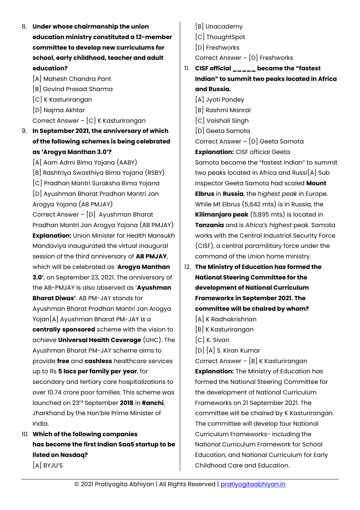- 8. **Under whose chairmanship the union education ministry constituted a 12-member committee to develop new curriculums for school, early childhood, teacher and adult education?**
	- [A] Mahesh Chandra Pant
	- [B] Govind Prasad Sharma
	- [C] K Kasturirangan
	- [D] Najma Akhtar

Correct Answer – [C] K Kasturirangan

9. **In September 2021, the anniversary of which of the following schemes is being celebrated as 'Arogya Manthan 3.0'?**

[A] Aam Admi Bima Yojana (AABY) [B] Rashtriya Swasthiya Bima Yojana (RSBY) [C] Pradhan Mantri Suraksha Bima Yojana [D] Ayushman Bharat Pradhan Mantri Jan Arogya Yojana (AB PMJAY) Correct Answer – [D] Ayushman Bharat Pradhan Mantri Jan Arogya Yojana (AB PMJAY) **Explanation:** Union Minister for Health Mansukh Mandaviya inaugurated the virtual inaugural session of the third anniversary of **AB PMJAY**, which will be celebrated as '**Arogya Manthan 3.0'**, on September 23, 2021. The anniversary of the AB-PMJAY is also observed as '**Ayushman Bharat Diwas'**. AB PM-JAY stands for Ayushman Bharat Pradhan Mantri Jan Arogya Yojan[A] Ayushman Bharat PM-JAY is a **centrally sponsored** scheme with the vision to achieve **Universal Health Coverage** (UHC). The Ayushman Bharat PM-JAY scheme aims to provide **free** and **cashless** healthcare services up to Rs **5 lacs per family per year**, for secondary and tertiary care hospitalizations to over 10.74 crore poor families. This scheme was launched on 23rd September **2018** in **Ranchi**, Jharkhand by the Hon'ble Prime Minister of India.

10. **Which of the following companies has become the first Indian SaaS startup to be listed on Nasdaq?** [A] BYJU'S

- [B] Unacademy
- [C] ThoughtSpot
- [D] Freshworks

Correct Answer – [D] Freshworks

- 11. **CISF official \_\_\_\_\_ became the "fastest Indian" to summit two peaks located in Africa and Russia.**
	- [A] Jyoti Pandey
	- [B] Rashmi Manral
	- [C] Vaishali Singh
	- [D] Geeta Samota

Correct Answer – [D] Geeta Samota

**Explanation:** CISF official Geeta Samota became the "fastest Indian" to summit two peaks located in Africa and Russi[A] Sub Inspector Geeta Samota had scaled **Mount Elbrus** in **Russia**, the *highest peak* in Europe. While Mt Elbrus (5,642 mts) is in Russia, the **Kilimanjaro peak** (5,895 mts) is located in **Tanzania** and is *Africa's highest* peak. Samota works with the Central Industrial Security Force (CISF), a central paramilitary force under the command of the Union home ministry.

- 12. **The Ministry of Education has formed the National Steering Committee for the development of National Curriculum Frameworks in September 2021. The committee will be chaired by whom?**
	- [A] K Radhakrishnan
	- [B] K Kasturirangan
	- [C] K. Sivan
	- [D] [A] S. Kiran Kumar

Correct Answer – [B] K Kasturirangan **Explanation:** The Ministry of Education has formed the National Steering Committee for the development of National Curriculum Frameworks on 21 September 2021. The committee will be chaired by K Kasturirangan. The committee will develop four National Curriculum Frameworks- including the National Curriculum Framework for School Education, and National Curriculum for Early Childhood Care and Education.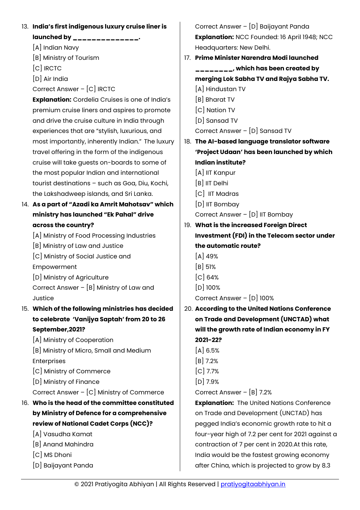13. **India's first indigenous luxury cruise liner is launched by \_\_\_\_\_\_\_\_\_\_\_\_\_\_.** [A] Indian Navy [B] Ministry of Tourism [C] IRCTC [D] Air India Correct Answer – [C] IRCTC **Explanation:** Cordelia Cruises is one of India's premium cruise liners and aspires to promote and drive the cruise culture in India through experiences that are "stylish, luxurious, and most importantly, inherently Indian." The luxury travel offering in the form of the indigenous cruise will take guests on-boards to some of the most popular Indian and international tourist destinations – such as Goa, Diu, Kochi, the Lakshadweep islands, and Sri Lanka. 14. **As a part of "Azadi ka Amrit Mahotsav" which ministry has launched "Ek Pahal" drive across the country?** [A] Ministry of Food Processing Industries [B] Ministry of Law and Justice [C] Ministry of Social Justice and Empowerment [D] Ministry of Agriculture Correct Answer – [B] Ministry of Law and **Justice** 15. **Which of the following ministries has decided to celebrate 'Vanijya Saptah' from 20 to 26 September,2021?** [A] Ministry of Cooperation [B] Ministry of Micro, Small and Medium Enterprises [C] Ministry of Commerce [D] Ministry of Finance Correct Answer – [C] Ministry of Commerce 16. **Who is the head of the committee constituted by Ministry of Defence for a comprehensive review of National Cadet Corps (NCC)?** [A] Vasudha Kamat [B] Anand Mahindra [C] MS Dhoni [D] Baijayant Panda Correct Answer – [D] Baijayant Panda **Explanation:** NCC Founded: 16 April 1948; NCC Headquarters: New Delhi. 17. **Prime Minister Narendra Modi launched \_\_\_\_\_\_\_\_, which has been created by merging Lok Sabha TV and Rajya Sabha TV.** [A] Hindustan TV [B] Bharat TV [C] Nation TV [D] Sansad TV Correct Answer – [D] Sansad TV 18. **The AI-based language translator software 'Project Udaan' has been launched by which Indian institute?** [A] IIT Kanpur [B] IIT Delhi [C] IIT Madras [D] IIT Bombay Correct Answer – [D] IIT Bombay 19. **What is the increased Foreign Direct Investment (FDI) in the Telecom sector under the automatic route?** [A] 49%  $[B]$  51%  $\left[$ C $\right]$  64% [D] 100% Correct Answer – [D] 100% 20. **According to the United Nations Conference on Trade and Development (UNCTAD) what will the growth rate of Indian economy in FY 2021-22?**  $[A] 6.5%$ [B] 7.2% [C] 7.7% [D] 7.9% Correct Answer – [B] 7.2% **Explanation:** The United Nations Conference on Trade and Development (UNCTAD) has pegged India's economic growth rate to hit a four-year high of 7.2 per cent for 2021 against a contraction of 7 per cent in 2020.At this rate, India would be the fastest growing economy after China, which is projected to grow by 8.3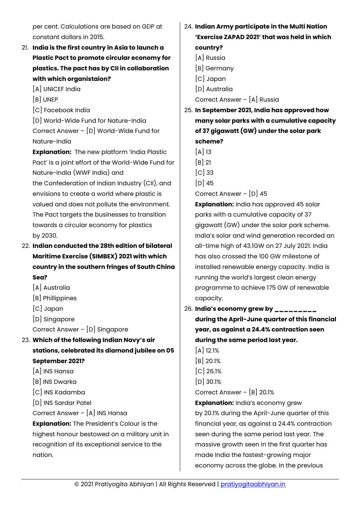per cent. Calculations are based on GDP at constant dollars in 2015.

- 21. **India is the first country in Asia to launch a Plastic Pact to promote circular economy for plastics. The pact has by CII in collaboration with which organistaion?**
	- [A] UNICEF India
	- [B] UNEP
	- [C] Facebook India

[D] World-Wide Fund for Nature-India Correct Answer – [D] World-Wide Fund for Nature-India

**Explanation:** The new platform 'India Plastic Pact' is a joint effort of the World-Wide Fund for Nature-India (WWF India) and

the Confederation of Indian Industry (CII), and envisions to create a world where plastic is valued and does not pollute the environment. The Pact targets the businesses to transition towards a circular economy for plastics by 2030.

- 22. **Indian conducted the 28th edition of bilateral Maritime Exercise (SIMBEX) 2021 with which country in the southern fringes of South China Sea?**
	- [A] Australia
	- [B] Phillippines
	- [C] Japan
	- [D] Singapore
	- Correct Answer [D] Singapore
- 23. **Which of the following Indian Navy's air stations, celebrated its diamond jubilee on 05 September 2021?**
	- [A] INS Hansa
	- [B] INS Dwarka
	- [C] INS Kadamba
	- [D] INS Sardar Patel
	- Correct Answer [A] INS Hansa

**Explanation:** The President's Colour is the highest honour bestowed on a military unit in recognition of its exceptional service to the nation.

- 24. **Indian Army participate in the Multi Nation 'Exercise ZAPAD 2021' that was held in which country?**
	- [A] Russia
	- [B] Germany
	- [C] Japan
	- [D] Australia

Correct Answer – [A] Russia

25. **In September 2021, India has approved how many solar parks with a cumulative capacity of 37 gigawatt (GW) under the solar park scheme?**

 $[A]$  13

- [B] 21
- [C] 33
- $[D]$  45

Correct Answer – [D] 45

**Explanation:** India has approved 45 solar parks with a cumulative capacity of 37 gigawatt (GW) under the solar park scheme. India's solar and wind generation recorded an all-time high of 43.1GW on 27 July 2021. India has also crossed the 100 GW milestone of installed renewable energy capacity. India is running the world's largest clean energy programme to achieve 175 GW of renewable capacity.

26. **India's economy grew by \_\_\_\_\_\_\_\_\_ during the April-June quarter of this financial year, as against a 24.4% contraction seen during the same period last year.**

 $[A]$  12.1% [B] 20.1% [C] 26.1% [D] 30.1% Correct Answer – [B] 20.1%

**Explanation:** India's economy grew by 20.1% during the April-June quarter of this financial year, as against a 24.4% contraction seen during the same period last year. The massive growth seen in the first quarter has made India the fastest-growing major economy across the globe. In the previous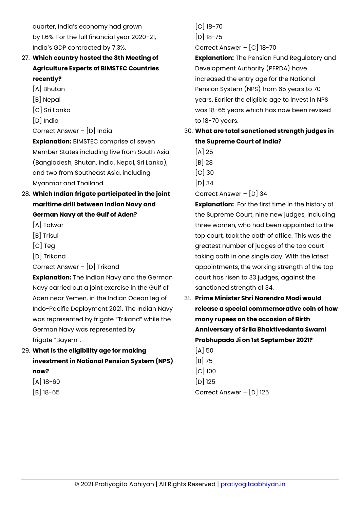quarter, India's economy had grown by 1.6%. For the full financial year 2020-21, India's GDP contracted by 7.3%.

# 27. **Which country hosted the 8th Meeting of Agriculture Experts of BIMSTEC Countries recently?**

- [A] Bhutan
- [B] Nepal
- [C] Sri Lanka
- [D] India

Correct Answer – [D] India

**Explanation:** BIMSTEC comprise of seven Member States including five from South Asia (Bangladesh, Bhutan, India, Nepal, Sri Lanka), and two from Southeast Asia, including Myanmar and Thailand.

- 28. **Which Indian frigate participated in the joint maritime drill between Indian Navy and German Navy at the Gulf of Aden?**
	- [A] Talwar
	- [B] Trisul
	- [C] Teg
	- [D] Trikand

Correct Answer – [D] Trikand

**Explanation:** The Indian Navy and the German Navy carried out a joint exercise in the Gulf of Aden near Yemen, in the Indian Ocean leg of Indo-Pacific Deployment 2021. The Indian Navy was represented by frigate "Trikand" while the German Navy was represented by frigate "Bayern".

- 29. **What is the eligibility age for making investment in National Pension System (NPS) now?**
	- [A] 18-60
	- [B] 18-65

[C] 18-70 [D] 18-75

Correct Answer – [C] 18-70

**Explanation:** The Pension Fund Regulatory and Development Authority (PFRDA) have increased the entry age for the National Pension System (NPS) from 65 years to 70 years. Earlier the eligible age to invest in NPS was 18-65 years which has now been revised to 18-70 years.

- 30. **What are total sanctioned strength judges in the Supreme Court of India?**
	- $[A]$  25
	- [B] 28
	- [C] 30
	- $[D]$  34

Correct Answer – [D] 34

**Explanation:** For the first time in the history of the Supreme Court, nine new judges, including three women, who had been appointed to the top court, took the oath of office. This was the greatest number of judges of the top court taking oath in one single day. With the latest appointments, the working strength of the top court has risen to 33 judges, against the sanctioned strength of 34.

31. **Prime Minister Shri Narendra Modi would release a special commemorative coin of how many rupees on the occasion of Birth Anniversary of Srila Bhaktivedanta Swami Prabhupada Ji on 1st September 2021?**

[A] 50 [B] 75 [C] 100 [D] 125 Correct Answer – [D] 125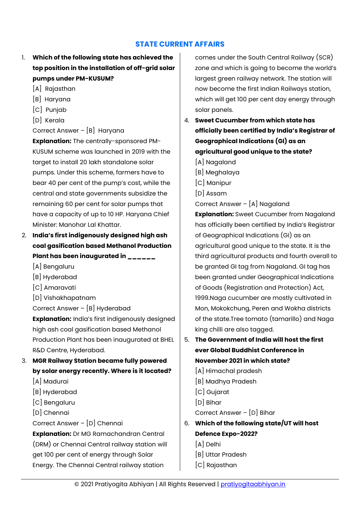# **STATE CURRENT AFFAIRS**

- <span id="page-17-0"></span>1. **Which of the following state has achieved the top position in the installation of off-grid solar pumps under PM-KUSUM?**
	- [A] Rajasthan
	- [B] Haryana
	- [C] Punjab
	- [D] Kerala

Correct Answer – [B] Haryana

**Explanation:** The centrally-sponsored PM-KUSUM scheme was launched in 2019 with the target to install 20 lakh standalone solar pumps. Under this scheme, farmers have to bear 40 per cent of the pump's cost, while the central and state governments subsidize the remaining 60 per cent for solar pumps that have a capacity of up to 10 HP. Haryana Chief Minister: Manohar Lal Khattar.

- 2. **India's first indigenously designed high ash coal gasification based Methanol Production Plant has been inaugurated in \_\_\_\_\_\_**
	- [A] Bengaluru
	- [B] Hyderabad
	- [C] Amaravati
	- [D] Vishakhapatnam

Correct Answer – [B] Hyderabad

**Explanation:** India's first indigenously designed high ash coal gasification based Methanol Production Plant has been inaugurated at BHEL R&D Centre, Hyderabad.

- 3. **MGR Railway Station became fully powered by solar energy recently. Where is it located?**
	- [A] Madurai
	- [B] Hyderabad
	- [C] Bengaluru
	- [D] Chennai
	- Correct Answer [D] Chennai

**Explanation:** Dr MG Ramachandran Central (DRM) or Chennai Central railway station will get 100 per cent of energy through Solar Energy. The Chennai Central railway station

comes under the South Central Railway (SCR) zone and which is going to become the world's largest green railway network. The station will now become the first Indian Railways station, which will get 100 per cent day energy through solar panels.

- 4. **Sweet Cucumber from which state has officially been certified by India's Registrar of Geographical Indications (GI) as an agricultural good unique to the state?**
	- [A] Nagaland
	- [B] Meghalaya
	- [C] Manipur
	- [D] Assam

Correct Answer – [A] Nagaland

**Explanation:** Sweet Cucumber from Nagaland has officially been certified by India's Registrar of Geographical Indications (GI) as an agricultural good unique to the state. It is the third agricultural products and fourth overall to be granted GI tag from Nagaland. GI tag has been granted under Geographical Indications of Goods (Registration and Protection) Act, 1999.Naga cucumber are mostly cultivated in Mon, Mokokchung, Peren and Wokha districts of the state.Tree tomato (tamarillo) and Naga king chilli are also tagged.

- 5. **The Government of India will host the first ever Global Buddhist Conference in November 2021 in which state?**
	- [A] Himachal pradesh
	- [B] Madhya Pradesh
	- [C] Gujarat
	- [D] Bihar
	- Correct Answer [D] Bihar
- 6. **Which of the following state/UT will host Defence Expo-2022?** [A] Delhi
	-
	- [B] Uttar Pradesh
	- [C] Rajasthan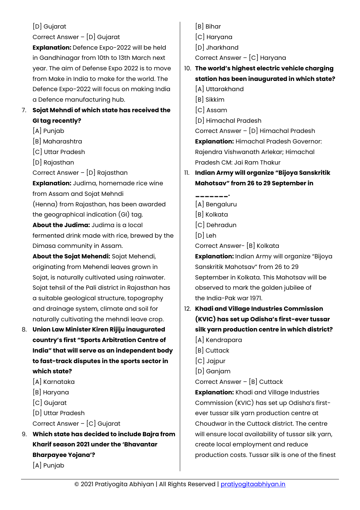# [D] Gujarat

## Correct Answer – [D] Gujarat

**Explanation:** Defence Expo-2022 will be held in Gandhinagar from 10th to 13th March next year. The aim of Defense Expo 2022 is to move from Make in India to make for the world. The Defence Expo-2022 will focus on making India a Defence manufacturing hub.

# 7. **Sojat Mehndi of which state has received the GI tag recently?**

- [A] Punjab
- [B] Maharashtra
- [C] Uttar Pradesh
- [D] Rajasthan
- Correct Answer [D] Rajasthan

**Explanation:** Judima, homemade rice wine from Assam and Sojat Mehndi (Henna) from Rajasthan, has been awarded the geographical indication (GI) tag. **About the Judima:** Judima is a local fermented drink made with rice, brewed by the Dimasa community in Assam.

**About the Sojat Mehendi:** Sojat Mehendi, originating from Mehendi leaves grown in Sojat, is naturally cultivated using rainwater. Sojat tehsil of the Pali district in Rajasthan has a suitable geological structure, topography and drainage system, climate and soil for naturally cultivating the mehndi leave crop.

- 8. **Union Law Minister Kiren Rijiju inaugurated country's first "Sports Arbitration Centre of India" that will serve as an independent body to fast-track disputes in the sports sector in which state?**
	- [A] Karnataka
	- [B] Haryana
	- [C] Gujarat
	- [D] Uttar Pradesh
	- Correct Answer [C] Gujarat
- 9. **Which state has decided to include Bajra from Kharif season 2021 under the 'Bhavantar Bharpayee Yojana'?** [A] Punjab
- [B] Bihar
- [C] Haryana
- [D] Jharkhand

Correct Answer – [C] Haryana

- 10. **The world's highest electric vehicle charging station has been inaugurated in which state?**
	- [A] Uttarakhand
	- [B] Sikkim
	- [C] Assam
	- [D] Himachal Pradesh

Correct Answer – [D] Himachal Pradesh **Explanation:** Himachal Pradesh Governor: Rajendra Vishwanath Arlekar; Himachal Pradesh CM: Jai Ram Thakur

- 11. **Indian Army will organize "Bijoya Sanskritik Mahotsav" from 26 to 29 September in** 
	- **\_\_\_\_\_\_\_.** [A] Bengaluru
	- [B] Kolkata
	- [C] Dehradun
	- [D] Leh
	- Correct Answer- [B] Kolkata

**Explanation:** Indian Army will organize "Bijoya Sanskritik Mahotsav" from 26 to 29 September in Kolkata. This Mahotsav will be observed to mark the golden jubilee of the India-Pak war 1971.

- 12. **Khadi and Village Industries Commission (KVIC) has set up Odisha's first-ever tussar silk yarn production centre in which district?**
	- [A] Kendrapara
	- [B] Cuttack
	- [C] Jajpur
	- [D] Ganjam
	- Correct Answer [B] Cuttack

**Explanation:** Khadi and Village Industries Commission (KVIC) has set up Odisha's firstever tussar silk yarn production centre at Choudwar in the Cuttack district. The centre will ensure local availability of tussar silk yarn, create local employment and reduce production costs. Tussar silk is one of the finest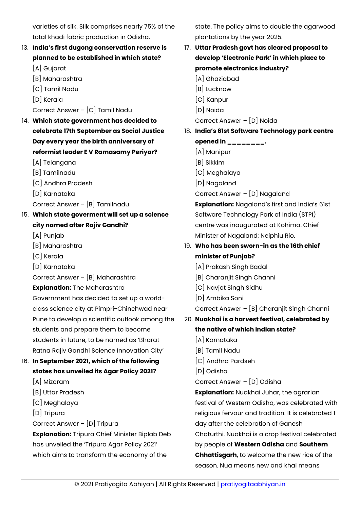varieties of silk. Silk comprises nearly 75% of the total khadi fabric production in Odisha.

# 13. **India's first dugong conservation reserve is planned to be established in which state?**

[A] Gujarat

- [B] Maharashtra
- [C] Tamil Nadu
- [D] Kerala

Correct Answer – [C] Tamil Nadu

- 14. **Which state government has decided to celebrate 17th September as Social Justice Day every year the birth anniversary of reformist leader E V Ramasamy Periyar?**
	- [A] Telangana
	- [B] Tamilnadu
	- [C] Andhra Pradesh
	- [D] Karnataka

Correct Answer – [B] Tamilnadu

# 15. **Which state goverment will set up a science city named after Rajiv Gandhi?**

- [A] Punjab
- [B] Maharashtra
- [C] Kerala
- [D] Karnataka

Correct Answer – [B] Maharashtra

**Explanation:** The Maharashtra

Government has decided to set up a worldclass science city at Pimpri-Chinchwad near Pune to develop a scientific outlook among the students and prepare them to become students in future, to be named as 'Bharat Ratna Rajiv Gandhi Science Innovation City'

# 16. **In September 2021, which of the following states has unveiled its Agar Policy 2021?**

- [A] Mizoram
- [B] Uttar Pradesh
- [C] Meghalaya
- [D] Tripura
- Correct Answer [D] Tripura

**Explanation:** Tripura Chief Minister Biplab Deb has unveiled the 'Tripura Agar Policy 2021' which aims to transform the economy of the

state. The policy aims to double the agarwood plantations by the year 2025.

17. **Uttar Pradesh govt has cleared proposal to develop 'Electronic Park' in which place to promote electronics industry?** [A] Ghaziabad [B] Lucknow [C] Kanpur [D] Noida Correct Answer – [D] Noida 18. **India's 61st Software Technology park centre opened in \_\_\_\_\_\_\_\_.** [A] Manipur [B] Sikkim [C] Meghalaya [D] Nagaland Correct Answer – [D] Nagaland **Explanation:** Nagaland's first and India's 61st Software Technology Park of India (STPI) centre was inaugurated at Kohima. Chief Minister of Nagaland: Neiphiu Rio. 19. **Who has been sworn-in as the 16th chief minister of Punjab?** [A] Prakash Singh Badal [B] Charanjit Singh Channi [C] Navjot Singh Sidhu [D] Ambika Soni Correct Answer – [B] Charanjit Singh Channi 20. **Nuakhai is a harvest festival, celebrated by the native of which Indian state?** [A] Karnataka [B] Tamil Nadu [C] Andhra Pardseh [D] Odisha Correct Answer – [D] Odisha **Explanation:** Nuakhai Juhar, the agrarian festival of Western Odisha, was celebrated with religious fervour and tradition. It is celebrated 1 day after the celebration of Ganesh Chaturthi. Nuakhai is a crop festival celebrated by people of **Western Odisha** and **Southern Chhattisgarh**, to welcome the new rice of the season. Nua means new and khai means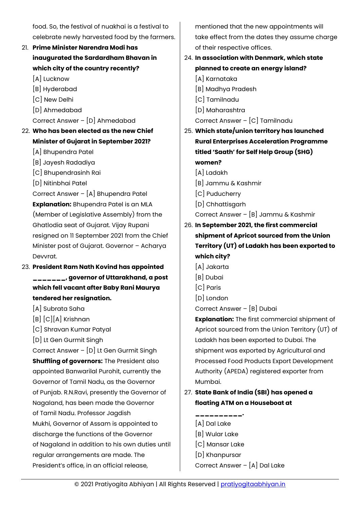food. So, the festival of nuakhai is a festival to celebrate newly harvested food by the farmers.

- 21. **Prime Minister Narendra Modi has inaugurated the Sardardham Bhavan in which city of the country recently?**
	- [A] Lucknow
	- [B] Hyderabad
	- [C] New Delhi
	- [D] Ahmedabad

Correct Answer – [D] Ahmedabad

- 22. **Who has been elected as the new Chief Minister of Gujarat in September 2021?**
	- [A] Bhupendra Patel
	- [B] Jayesh Radadiya
	- [C] Bhupendrasinh Rai
	- [D] Nitinbhai Patel

Correct Answer – [A] Bhupendra Patel **Explanation:** Bhupendra Patel is an MLA (Member of Legislative Assembly) from the Ghatlodia seat of Gujarat. Vijay Rupani resigned on 11 September 2021 from the Chief Minister post of Gujarat. Governor – Acharya Devvrat.

- 23. **President Ram Nath Kovind has appointed \_\_\_\_\_\_\_, governor of Uttarakhand, a post which fell vacant after Baby Rani Maurya tendered her resignation.**
	- [A] Subrata Saha
	- [B] [C][A] Krishnan
	- [C] Shravan Kumar Patyal
	- [D] Lt Gen Gurmit Singh

Correct Answer – [D] Lt Gen Gurmit Singh **Shuffling of governors:** The President also appointed Banwarilal Purohit, currently the Governor of Tamil Nadu, as the Governor of Punjab. R.N.Ravi, presently the Governor of Nagaland, has been made the Governor of Tamil Nadu. Professor Jagdish Mukhi, Governor of Assam is appointed to discharge the functions of the Governor

of Nagaland in addition to his own duties until regular arrangements are made. The President's office, in an official release,

mentioned that the new appointments will take effect from the dates they assume charge of their respective offices.

- 24. **In association with Denmark, which state planned to create an energy island?**
	- [A] Karnataka
	- [B] Madhya Pradesh
	- [C] Tamilnadu
	- [D] Maharashtra
	- Correct Answer [C] Tamilnadu
- 25. **Which state/union territory has launched Rural Enterprises Acceleration Programme titled 'Saath' for Self Help Group (SHG) women?**
	- [A] Ladakh
	- [B] Jammu & Kashmir
	- [C] Puducherry
	- [D] Chhattisgarh
	- Correct Answer [B] Jammu & Kashmir

# 26. **In September 2021, the first commercial shipment of Apricot sourced from the Union Territory (UT) of Ladakh has been exported to which city?**

- [A] Jakarta
- [B] Dubai
- [C] Paris
- [D] London

Correct Answer – [B] Dubai

**Explanation:** The first commercial shipment of Apricot sourced from the Union Territory (UT) of Ladakh has been exported to Dubai. The shipment was exported by Agricultural and Processed Food Products Export Development Authority (APEDA) registered exporter from Mumbai.

- 27. **State Bank of India (SBI) has opened a floating ATM on a Houseboat at** 
	- **\_\_\_\_\_\_\_\_\_\_.** [A] Dal Lake
	-
	- [B] Wular Lake
	- [C] Mansar Lake
	- [D] Khanpursar

Correct Answer – [A] Dal Lake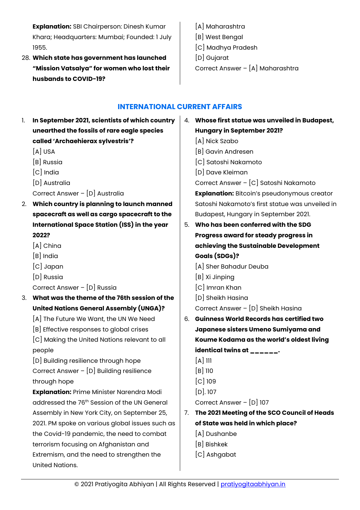**Explanation:** SBI Chairperson: Dinesh Kumar Khara; Headquarters: Mumbai; Founded: 1 July 1955.

- 28. **Which state has government has launched "Mission Vatsalya" for women who lost their husbands to COVID-19?**
- [A] Maharashtra [B] West Bengal [C] Madhya Pradesh [D] Gujarat Correct Answer – [A] Maharashtra

# **INTERNATIONAL CURRENT AFFAIRS**

<span id="page-21-0"></span>1. **In September 2021, scientists of which country unearthed the fossils of rare eagle species called 'Archaehierax sylvestris'?** [A] USA [B] Russia [C] India [D] Australia Correct Answer – [D] Australia 2. **Which country is planning to launch manned spacecraft as well as cargo spacecraft to the International Space Station (ISS) in the year 2022?** [A] China [B] India [C] Japan [D] Russia Correct Answer – [D] Russia 3. **What was the theme of the 76th session of the United Nations General Assembly (UNGA)?** [A] The Future We Want, the UN We Need [B] Effective responses to global crises [C] Making the United Nations relevant to all people [D] Building resilience through hope Correct Answer – [D] Building resilience through hope **Explanation:** Prime Minister Narendra Modi addressed the 76<sup>th</sup> Session of the UN General Assembly in New York City, on September 25, 2021. PM spoke on various global issues such as the Covid-19 pandemic, the need to combat terrorism focusing on Afghanistan and Extremism, and the need to strengthen the United Nations. 4. **Whose first statue was unveiled in Budapest, Hungary in September 2021?** [A] Nick Szabo [B] Gavin Andresen [C] Satoshi Nakamoto [D] Dave Kleiman Correct Answer – [C] Satoshi Nakamoto **Explanation:** Bitcoin's pseudonymous creator Satoshi Nakamoto's first statue was unveiled in Budapest, Hungary in September 2021. 5. **Who has been conferred with the SDG Progress award for steady progress in achieving the Sustainable Development Goals (SDGs)?** [A] Sher Bahadur Deuba [B] Xi Jinping [C] Imran Khan [D] Sheikh Hasina Correct Answer – [D] Sheikh Hasina 6. **Guinness World Records has certified two Japanese sisters Umeno Sumiyama and Koume Kodama as the world's oldest living identical twins at \_\_\_\_\_\_.**  $[A]$  111 [B] 110 [C] 109 [D]. 107 Correct Answer – [D] 107 7. **The 2021 Meeting of the SCO Council of Heads of State was held in which place?** [A] Dushanbe [B] Bishkek [C] Ashgabat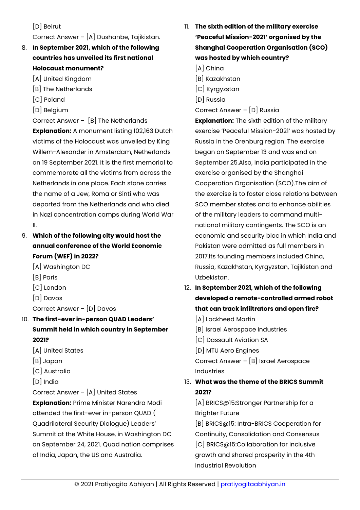[D] Beirut

Correct Answer – [A] Dushanbe, Tajikistan.

- 8. **In September 2021, which of the following countries has unveiled its first national Holocaust monument?**
	- [A] United Kingdom
	- [B] The Netherlands
	- [C] Poland
	- [D] Belgium

Correct Answer – [B] The Netherlands **Explanation:** A monument listing 102,163 Dutch victims of the Holocaust was unveiled by King Willem-Alexander in Amsterdam, Netherlands on 19 September 2021. It is the first memorial to commemorate all the victims from across the Netherlands in one place. Each stone carries the name of a Jew, Roma or Sinti who was deported from the Netherlands and who died in Nazi concentration camps during World War II.

9. **Which of the following city would host the annual conference of the World Economic Forum (WEF) in 2022?**

- [A] Washington DC
- [B] Paris
- [C] London
- [D] Davos
- Correct Answer [D] Davos

# 10. **The first-ever in-person QUAD Leaders' Summit held in which country in September 2021?**

- [A] United States
- [B] Japan
- [C] Australia
- [D] India

Correct Answer – [A] United States

**Explanation:** Prime Minister Narendra Modi attended the first-ever in-person QUAD ( Quadrilateral Security Dialogue) Leaders' Summit at the White House, in Washington DC on September 24, 2021. Quad nation comprises of India, Japan, the US and Australia.

11. **The sixth edition of the military exercise 'Peaceful Mission-2021' organised by the Shanghai Cooperation Organisation (SCO) was hosted by which country?**

[A] China

- [B] Kazakhstan
- [C] Kyrgyzstan
- [D] Russia

Correct Answer – [D] Russia

**Explanation:** The sixth edition of the military exercise 'Peaceful Mission-2021' was hosted by Russia in the Orenburg region. The exercise began on September 13 and was end on September 25.Also, India participated in the exercise organised by the Shanghai Cooperation Organisation (SCO).The aim of the exercise is to foster close relations between SCO member states and to enhance abilities of the military leaders to command multinational military contingents. The SCO is an economic and security bloc in which India and Pakistan were admitted as full members in 2017.Its founding members included China, Russia, Kazakhstan, Kyrgyzstan, Tajikistan and Uzbekistan.

- 12. **In September 2021, which of the following developed a remote-controlled armed robot that can track infiltrators and open fire?**
	- [A] Lockheed Martin [B] Israel Aerospace Industries [C] Dassault Aviation SA [D] MTU Aero Engines Correct Answer – [B] Israel Aerospace Industries

# 13. **What was the theme of the BRICS Summit 2021?**

[A] BRICS@15:Stronger Partnership for a Brighter Future

[B] BRICS@15: Intra-BRICS Cooperation for Continuity, Consolidation and Consensus [C] BRICS@15:Collaboration for inclusive growth and shared prosperity in the 4th Industrial Revolution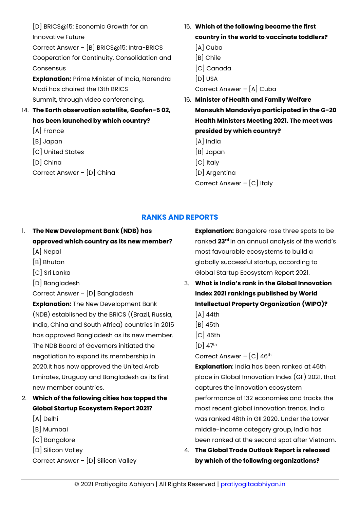[D] BRICS@15: Economic Growth for an Innovative Future Correct Answer – [B] BRICS@15: Intra-BRICS Cooperation for Continuity, Consolidation and **Consensus Explanation:** Prime Minister of India, Narendra Modi has chaired the 13th BRICS Summit, through video conferencing. 14. **The Earth observation satellite, Gaofen-5 02, has been launched by which country?** [A] France [B] Japan [C] United States [D] China Correct Answer – [D] China 15. **Which of the following became the first country in the world to vaccinate toddlers?** [A] Cuba [B] Chile [C] Canada [D] USA Correct Answer – [A] Cuba 16. **Minister of Health and Family Welfare Mansukh Mandaviya participated in the G-20 Health Ministers Meeting 2021. The meet was presided by which country?** [A] India [B] Japan [C] Italy [D] Argentina Correct Answer – [C] Italy

# **RANKS AND REPORTS**

<span id="page-23-0"></span>1. **The New Development Bank (NDB) has approved which country as its new member?**

- [A] Nepal
- [B] Bhutan
- [C] Sri Lanka
- [D] Bangladesh

Correct Answer – [D] Bangladesh

**Explanation:** The New Development Bank (NDB) established by the BRICS ((Brazil, Russia, India, China and South Africa) countries in 2015 has approved Bangladesh as its new member. The NDB Board of Governors initiated the negotiation to expand its membership in 2020.It has now approved the United Arab Emirates, Uruguay and Bangladesh as its first new member countries.

- 2. **Which of the following cities has topped the Global Startup Ecosystem Report 2021?**
	- [A] Delhi
	- [B] Mumbai
	- [C] Bangalore
	- [D] Silicon Valley

Correct Answer – [D] Silicon Valley

**Explanation:** Bangalore rose three spots to be ranked **23rd** in an annual analysis of the world's most favourable ecosystems to build a globally successful startup, according to Global Startup Ecosystem Report 2021.

3. **What is India's rank in the Global Innovation Index 2021 rankings published by World Intellectual Property Organization (WIPO)?**

- $[A]$  44th
- [B] 45th
- [C] 46th
- $[D]$  47<sup>th</sup>

Correct Answer – [C] 46th

**Explanation**: India has been ranked at 46th place in Global Innovation Index (GII) 2021, that captures the innovation ecosystem performance of 132 economies and tracks the most recent global innovation trends. India was ranked 48th in GII 2020. Under the Lower middle-income category group, India has been ranked at the second spot after Vietnam.

4. **The Global Trade Outlook Report is released by which of the following organizations?**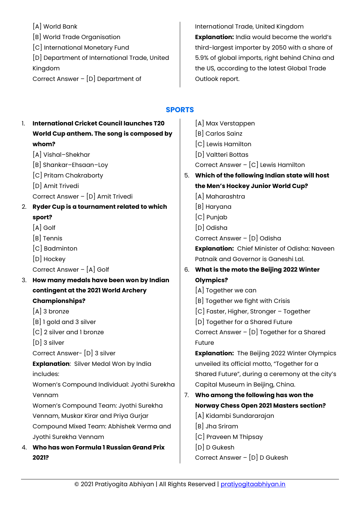[A] World Bank [B] World Trade Organisation [C] International Monetary Fund [D] Department of International Trade, United Kingdom Correct Answer – [D] Department of

International Trade, United Kingdom **Explanation:** India would become the world's third-largest importer by 2050 with a share of 5.9% of global imports, right behind China and the US, according to the latest Global Trade Outlook report.

#### **SPORTS**  $\mathbf{r}$

<span id="page-24-0"></span>

| 1. | <b>International Cricket Council launches T20</b> |    | [A] Max Verstappen                                   |
|----|---------------------------------------------------|----|------------------------------------------------------|
|    | World Cup anthem. The song is composed by         |    | [B] Carlos Sainz                                     |
|    | whom?                                             |    | [C] Lewis Hamilton                                   |
|    | [A] Vishal-Shekhar                                |    | [D] Valtteri Bottas                                  |
|    | [B] Shankar-Ehsaan-Loy                            |    | Correct Answer $ [C]$ Lewis Hamilton                 |
|    | [C] Pritam Chakraborty                            | 5. | Which of the following Indian state will host        |
|    | [D] Amit Trivedi                                  |    | the Men's Hockey Junior World Cup?                   |
|    | Correct Answer - [D] Amit Trivedi                 |    | [A] Maharashtra                                      |
| 2. | Ryder Cup is a tournament related to which        |    | [B] Haryana                                          |
|    | sport?                                            |    | [C] Punjab                                           |
|    | $[A]$ Golf                                        |    | [D] Odisha                                           |
|    | [B] Tennis                                        |    | Correct Answer - [D] Odisha                          |
|    | [C] Badminton                                     |    | Explanation: Chief Minister of Odisha: Naveen        |
|    | [D] Hockey                                        |    | Patnaik and Governor is Ganeshi Lal.                 |
|    | Correct Answer - [A] Golf                         |    | 6. What is the moto the Beijing 2022 Winter          |
| 3. | How many medals have been won by Indian           |    | <b>Olympics?</b>                                     |
|    | contingent at the 2021 World Archery              |    | [A] Together we can                                  |
|    | <b>Championships?</b>                             |    | [B] Together we fight with Crisis                    |
|    | $[A]$ 3 bronze                                    |    | [C] Faster, Higher, Stronger - Together              |
|    | [B] 1 gold and 3 silver                           |    | [D] Together for a Shared Future                     |
|    | [C] 2 silver and 1 bronze                         |    | Correct Answer - [D] Together for a Shared           |
|    | $[D]$ 3 silver                                    |    | Future                                               |
|    | Correct Answer- [D] 3 silver                      |    | <b>Explanation:</b> The Beijing 2022 Winter Olympics |
|    | <b>Explanation:</b> Silver Medal Won by India     |    | unveiled its official motto, "Together for a         |
|    | includes:                                         |    | Shared Future", during a ceremony at the city's      |
|    | Women's Compound Individual: Jyothi Surekha       |    | Capital Museum in Beijing, China.                    |
|    | Vennam                                            |    | 7. Who among the following has won the               |
|    | Women's Compound Team: Jyothi Surekha             |    | <b>Norway Chess Open 2021 Masters section?</b>       |
|    | Vennam, Muskar Kirar and Priya Gurjar             |    | [A] Kidambi Sundararajan                             |
|    | Compound Mixed Team: Abhishek Verma and           |    | [B] Jha Sriram                                       |
|    | Jyothi Surekha Vennam                             |    | [C] Praveen M Thipsay                                |
| 4. | Who has won Formula 1 Russian Grand Prix          |    | [D] D Gukesh                                         |
|    | 2021?                                             |    | Correct Answer - [D] D Gukesh                        |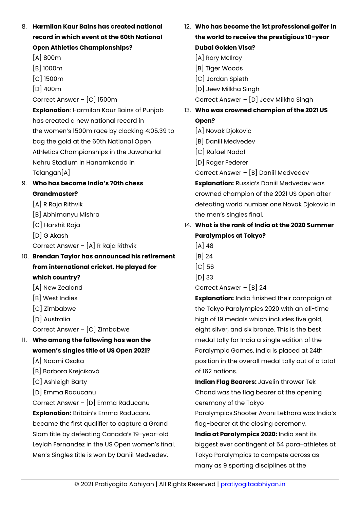| 8. Harmilan Kaur Bains has created national       | 12. Who has become the 1st professional golfer in    |
|---------------------------------------------------|------------------------------------------------------|
| record in which event at the 60th National        | the world to receive the prestigious 10-year         |
| <b>Open Athletics Championships?</b>              | <b>Dubai Golden Visa?</b>                            |
| $[A]$ 800 $m$                                     | [A] Rory McIlroy                                     |
| $[B]$ 1000 $m$                                    | [B] Tiger Woods                                      |
| $[C]$ 1500 $m$                                    | [C] Jordan Spieth                                    |
| $[D]$ 400m                                        | [D] Jeev Milkha Singh                                |
| Correct Answer - [C] 1500m                        | Correct Answer - [D] Jeev Milkha Singh               |
| <b>Explanation: Harmilan Kaur Bains of Punjab</b> | 13. Who was crowned champion of the 2021 US          |
| has created a new national record in              | Open?                                                |
| the women's 1500m race by clocking 4:05.39 to     | [A] Novak Djokovic                                   |
| bag the gold at the 60th National Open            | [B] Daniil Medvedev                                  |
| Athletics Championships in the Jawaharlal         | [C] Rafael Nadal                                     |
| Nehru Stadium in Hanamkonda in                    | [D] Roger Federer                                    |
| Telangan[A]                                       | Correct Answer - [B] Daniil Medvedev                 |
| 9. Who has become India's 70th chess              | <b>Explanation: Russia's Daniil Medvedev was</b>     |
| <b>Grandmaster?</b>                               | crowned champion of the 2021 US Open after           |
| [A] R Raja Rithvik                                | defeating world number one Novak Djokovic in         |
| [B] Abhimanyu Mishra                              | the men's singles final.                             |
| [C] Harshit Raja                                  | 14. What is the rank of India at the 2020 Summer     |
| $[D]$ G Akash                                     | <b>Paralympics at Tokyo?</b>                         |
| Correct Answer - [A] R Raja Rithvik               | $[A]$ 48                                             |
| 10. Brendan Taylor has announced his retirement   | $[B]$ 24                                             |
| from international cricket. He played for         | $[C]$ 56                                             |
| which country?                                    | $[D]$ 33                                             |
| [A] New Zealand                                   | Correct Answer $-$ [B] 24                            |
| [B] West Indies                                   | <b>Explanation:</b> India finished their campaign at |
| [C] Zimbabwe                                      | the Tokyo Paralympics 2020 with an all-time          |
| [D] Australia                                     | high of 19 medals which includes five gold,          |
| Correct Answer - [C] Zimbabwe                     | eight silver, and six bronze. This is the best       |
| 11. Who among the following has won the           | medal tally for India a single edition of the        |
| women's singles title of US Open 2021?            | Paralympic Games. India is placed at 24th            |
| [A] Naomi Osaka                                   | position in the overall medal tally out of a total   |
| [B] Barbora Krejcíková                            | of 162 nations.                                      |
| [C] Ashleigh Barty                                | Indian Flag Bearers: Javelin thrower Tek             |
| [D] Emma Raducanu                                 | Chand was the flag bearer at the opening             |
| Correct Answer - [D] Emma Raducanu                | ceremony of the Tokyo                                |
| <b>Explanation:</b> Britain's Emma Raducanu       | Paralympics. Shooter Avani Lekhara was India's       |
| became the first qualifier to capture a Grand     | flag-bearer at the closing ceremony.                 |
| Slam title by defeating Canada's 19-year-old      | India at Paralympics 2020: India sent its            |
| Leylah Fernandez in the US Open women's final.    | biggest ever contingent of 54 para-athletes at       |
| Men's Singles title is won by Daniil Medvedev.    | Tokyo Paralympics to compete across as               |
|                                                   | many as 9 sporting disciplines at the                |
|                                                   |                                                      |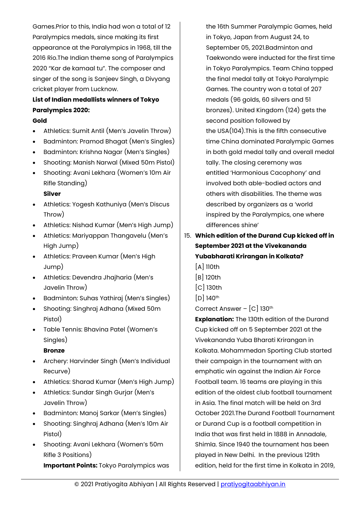Games.Prior to this, India had won a total of 12 Paralympics medals, since making its first appearance at the Paralympics in 1968, till the 2016 Rio.The Indian theme song of Paralympics 2020 "Kar de kamaal tu". The composer and singer of the song is Sanjeev Singh, a Divyang cricket player from Lucknow.

# **List of Indian medallists winners of Tokyo Paralympics 2020:**

#### **Gold**

- Athletics: Sumit Antil (Men's Javelin Throw)
- Badminton: Pramod Bhagat (Men's Singles)
- Badminton: Krishna Nagar (Men's Singles)
- Shooting: Manish Narwal (Mixed 50m Pistol)
- Shooting: Avani Lekhara (Women's 10m Air Rifle Standing)
	- **Silver**
- Athletics: Yogesh Kathuniya (Men's Discus Throw)
- Athletics: Nishad Kumar (Men's High Jump)
- Athletics: Mariyappan Thangavelu (Men's High Jump)
- Athletics: Praveen Kumar (Men's High Jump)
- Athletics: Devendra Jhajharia (Men's Javelin Throw)
- Badminton: Suhas Yathiraj (Men's Singles)
- Shooting: Singhraj Adhana (Mixed 50m Pistol)
- Table Tennis: Bhavina Patel (Women's Singles)

#### **Bronze**

- Archery: Harvinder Singh (Men's Individual Recurve)
- Athletics: Sharad Kumar (Men's High Jump)
- Athletics: Sundar Singh Gurjar (Men's Javelin Throw)
- Badminton: Manoj Sarkar (Men's Singles)
- Shooting: Singhraj Adhana (Men's 10m Air Pistol)
- Shooting: Avani Lekhara (Women's 50m Rifle 3 Positions)

**Important Points:** Tokyo Paralympics was

the 16th Summer Paralympic Games, held in Tokyo, Japan from August 24, to September 05, 2021.Badminton and Taekwondo were inducted for the first time in Tokyo Paralympics. Team China topped the final medal tally at Tokyo Paralympic Games. The country won a total of 207 medals (96 golds, 60 silvers and 51 bronzes). United Kingdom (124) gets the second position followed by the USA(104).This is the fifth consecutive time China dominated Paralympic Games in both gold medal tally and overall medal tally. The closing ceremony was entitled 'Harmonious Cacophony' and involved both able-bodied actors and others with disabilities. The theme was described by organizers as a 'world inspired by the Paralympics, one where differences shine'

# 15. **Which edition of the Durand Cup kicked off in September 2021 at the Vivekananda Yubabharati Krirangan in Kolkata?**

- [A] 110th
- [B] 120th
- [C] 130th
- $[D]$  140<sup>th</sup>
- Correct Answer [C] 130<sup>th</sup>

**Explanation:** The 130th edition of the Durand Cup kicked off on 5 September 2021 at the Vivekananda Yuba Bharati Krirangan in Kolkata. Mohammedan Sporting Club started their campaign in the tournament with an emphatic win against the Indian Air Force Football team. 16 teams are playing in this edition of the oldest club football tournament in Asia. The final match will be held on 3rd October 2021.The Durand Football Tournament or Durand Cup is a football competition in India that was first held in 1888 in Annadale, Shimla. Since 1940 the tournament has been played in New Delhi. In the previous 129th edition, held for the first time in Kolkata in 2019,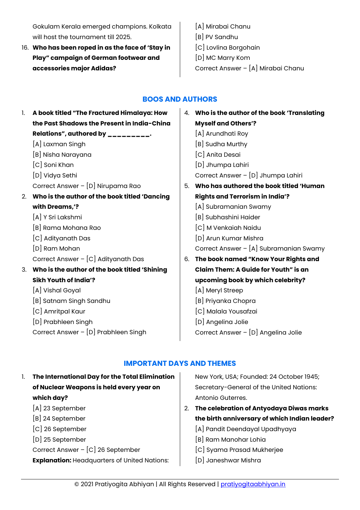Gokulam Kerala emerged champions. Kolkata will host the tournament till 2025.

- 16. **Who has been roped in as the face of 'Stay in Play" campaign of German footwear and accessories major Adidas?**
- [A] Mirabai Chanu [B] PV Sandhu [C] Lovlina Borgohain [D] MC Marry Kom Correct Answer – [A] Mirabai Chanu

# **BOOS AND AUTHORS**

<span id="page-27-0"></span>1. **A book titled "The Fractured Himalaya: How the Past Shadows the Present in India-China Relations", authored by \_\_\_\_\_\_\_\_\_.** [A] Laxman Singh [B] Nisha Narayana [C] Soni Khan [D] Vidya Sethi Correct Answer – [D] Nirupama Rao 2. **Who is the author of the book titled 'Dancing with Dreams,'?** [A] Y Sri Lakshmi [B] Rama Mohana Rao [C] Adityanath Das [D] Ram Mohan Correct Answer – [C] Adityanath Das 3. **Who is the author of the book titled 'Shining Sikh Youth of India'?** [A] Vishal Goyal [B] Satnam Singh Sandhu [C] Amritpal Kaur [D] Prabhleen Singh Correct Answer – [D] Prabhleen Singh 4. **Who is the author of the book 'Translating Myself and Others'?** [A] Arundhati Roy [B] Sudha Murthy [C] Anita Desai [D] Jhumpa Lahiri Correct Answer – [D] Jhumpa Lahiri 5. **Who has authored the book titled 'Human Rights and Terrorism in India'?** [A] Subramanian Swamy [B] Subhashini Haider [C] M Venkaiah Naidu [D] Arun Kumar Mishra Correct Answer – [A] Subramanian Swamy 6. **The book named "Know Your Rights and Claim Them: A Guide for Youth" is an upcoming book by which celebrity?** [A] Meryl Streep [B] Priyanka Chopra [C] Malala Yousafzai [D] Angelina Jolie Correct Answer – [D] Angelina Jolie

# **IMPORTANT DAYS AND THEMES**

<span id="page-27-1"></span>

| 1. | The International Day for the Total Elimination     |    | New York, USA; Founded: 24 October 1945;      |
|----|-----------------------------------------------------|----|-----------------------------------------------|
|    | of Nuclear Weapons is held every year on            |    | Secretary-General of the United Nations:      |
|    | which day?                                          |    | Antonio Guterres.                             |
|    | [A] 23 September                                    | 2. | The celebration of Antyodaya Diwas marks      |
|    | [B] 24 September                                    |    | the birth anniversary of which Indian leader? |
|    | [C] 26 September                                    |    | [A] Pandit Deendayal Upadhyaya                |
|    | [D] 25 September                                    |    | [B] Ram Manohar Lohia                         |
|    | Correct Answer - [C] 26 September                   |    | [C] Syama Prasad Mukherjee                    |
|    | <b>Explanation: Headquarters of United Nations:</b> |    | [D] Janeshwar Mishra                          |
|    |                                                     |    |                                               |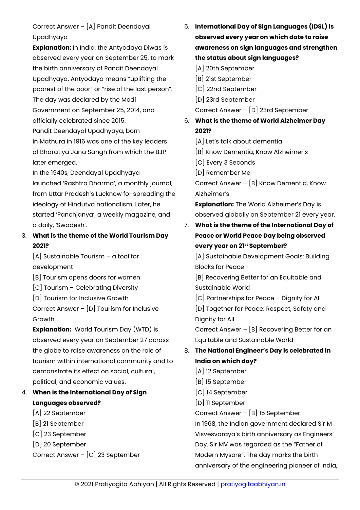# Correct Answer – [A] Pandit Deendayal Upadhyaya

**Explanation:** In India, the Antyodaya Diwas is observed every year on September 25, to mark the birth anniversary of Pandit Deendayal Upadhyaya. Antyodaya means "uplifting the poorest of the poor" or "rise of the last person". The day was declared by the Modi Government on September 25, 2014, and officially celebrated since 2015. Pandit Deendayal Upadhyaya, born in Mathura in 1916 was one of the key leaders of Bharatiya Jana Sangh from which the BJP

In the 1940s, Deendayal Upadhyaya launched 'Rashtra Dharma', a monthly journal, from Uttar Pradesh's Lucknow for spreading the ideology of Hindutva nationalism. Later, he started 'Panchjanya', a weekly magazine, and a daily, 'Swadesh'.

# 3. **What is the theme of the World Tourism Day 2021?**

 $[A]$  Sustainable Tourism – a tool for development

later emerged.

[B] Tourism opens doors for women

[C] Tourism – Celebrating Diversity

[D] Tourism for Inclusive Growth

Correct Answer – [D] Tourism for Inclusive Growth

**Explanation:** World Tourism Day (WTD) is observed every year on September 27 across the globe to raise awareness on the role of tourism within international community and to demonstrate its effect on social, cultural, political, and economic values.

# 4. **When is the International Day of Sign Languages observed?**

- [A] 22 September
- [B] 21 September
- [C] 23 September
- [D] 20 September

Correct Answer – [C] 23 September

5. **International Day of Sign Languages (IDSL) is observed every year on which date to raise awareness on sign languages and strengthen the status about sign languages?**

[A] 20th September

- [B] 21st September
- [C] 22nd September

[D] 23rd September

Correct Answer – [D] 23rd September

- 6. **What is the theme of World Alzheimer Day 2021?**
	- [A] Let's talk about dementia
	- [B] Know Dementia, Know Alzheimer's
	- [C] Every 3 Seconds
	- [D] Remember Me

Correct Answer – [B] Know Dementia, Know Alzheimer's

**Explanation:** The World Alzheimer's Day is observed globally on September 21 every year.

7. **What is the theme of the International Day of Peace or World Peace Day being observed every year on 21st September?**

[A] Sustainable Development Goals: Building Blocks for Peace

[B] Recovering Better for an Equitable and Sustainable World

[C] Partnerships for Peace – Dignity for All

[D] Together for Peace: Respect, Safety and Dignity for All

Correct Answer – [B] Recovering Better for an Equitable and Sustainable World

# 8. **The National Engineer's Day is celebrated in India on which day?**

- [A] 12 September
- [B] 15 September
- [C] 14 September
- [D] 11 September

Correct Answer – [B] 15 September

In 1968, the Indian government declared Sir M Visvesvaraya's birth anniversary as Engineers' Day. Sir MV was regarded as the "Father of Modern Mysore". The day marks the birth anniversary of the engineering pioneer of India,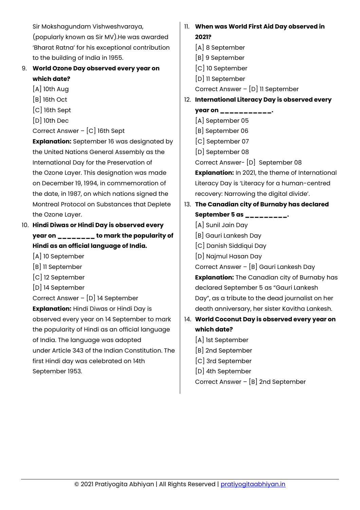Sir Mokshagundam Vishweshvaraya, (popularly known as Sir MV).He was awarded 'Bharat Ratna' for his exceptional contribution to the building of India in 1955. 9. **World Ozone Day observed every year on which date?** [A] 10th Aug [B] 16th Oct [C] 16th Sept [D] 10th Dec Correct Answer – [C] 16th Sept **Explanation:** September 16 was designated by the United Nations General Assembly as the International Day for the Preservation of the Ozone Layer. This designation was made on December 19, 1994, in commemoration of the date, in 1987, on which nations signed the Montreal Protocol on Substances that Deplete the Ozone Layer. 10. **Hindi Diwas or Hindi Day is observed every year on \_\_\_\_\_\_\_\_ to mark the popularity of Hindi as an official language of India.** [A] 10 September [B] 11 September [C] 12 September [D] 14 September Correct Answer – [D] 14 September **Explanation:** Hindi Diwas or Hindi Day is observed every year on 14 September to mark the popularity of Hindi as an official language of India. The language was adopted under Article 343 of the Indian Constitution. The first Hindi day was celebrated on 14th September 1953. 11. **When was World First Aid Day observed in 2021?** [A] 8 September [B] 9 September [C] 10 September [D] 11 September Correct Answer – [D] 11 September 12. **International Literacy Day is observed every year on \_\_\_\_\_\_\_\_\_\_\_.** [A] September 05 [B] September 06 [C] September 07 [D] September 08 Correct Answer- [D] September 08 **Explanation:** In 2021, the theme of International Literacy Day is 'Literacy for a human-centred recovery: Narrowing the digital divide'. 13. **The Canadian city of Burnaby has declared September 5 as \_\_\_\_\_\_\_\_\_.** [A] Sunil Jain Day [B] Gauri Lankesh Day [C] Danish Siddiqui Day [D] Najmul Hasan Day Correct Answer – [B] Gauri Lankesh Day **Explanation:** The Canadian city of Burnaby has declared September 5 as "Gauri Lankesh Day", as a tribute to the dead journalist on her death anniversary, her sister Kavitha Lankesh. 14. **World Coconut Day is observed every year on which date?** [A] 1st September [B] 2nd September [C] 3rd September [D] 4th September Correct Answer – [B] 2nd September